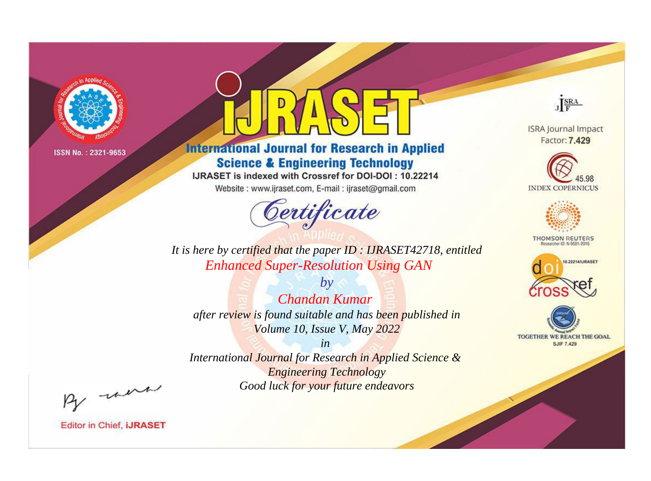

# **International Journal for Research in Applied Science & Engineering Technology**

IJRASET is indexed with Crossref for DOI-DOI: 10.22214

Website: www.ijraset.com, E-mail: ijraset@gmail.com



JERA

**ISRA Journal Impact** Factor: 7.429





**THOMSON REUTERS** 



TOGETHER WE REACH THE GOAL **SJIF 7.429** 

*It is here by certified that the paper ID : IJRASET42718, entitled Enhanced Super-Resolution Using GAN*

*by Chandan Kumar after review is found suitable and has been published in Volume 10, Issue V, May 2022*

*in* 

*International Journal for Research in Applied Science & Engineering Technology Good luck for your future endeavors*

By morn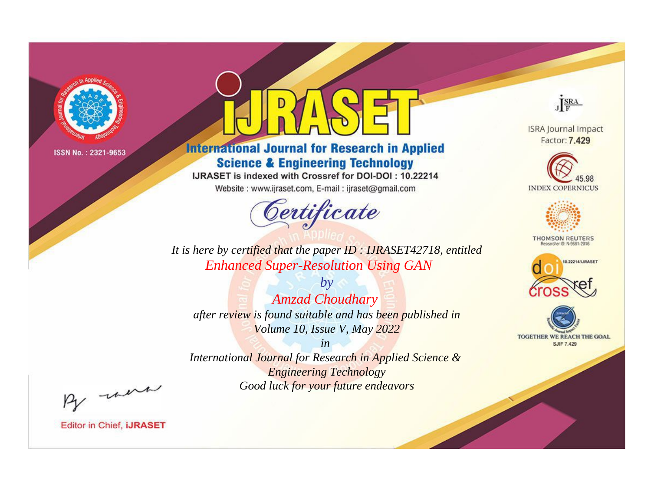

# **International Journal for Research in Applied Science & Engineering Technology**

IJRASET is indexed with Crossref for DOI-DOI: 10.22214

Website: www.ijraset.com, E-mail: ijraset@gmail.com



JERA

**ISRA Journal Impact** Factor: 7.429





**THOMSON REUTERS** 



TOGETHER WE REACH THE GOAL **SJIF 7.429** 

It is here by certified that the paper ID: IJRASET42718, entitled **Enhanced Super-Resolution Using GAN** 

 $b\mathbf{v}$ **Amzad Choudhary** after review is found suitable and has been published in Volume 10, Issue V, May 2022

 $in$ International Journal for Research in Applied Science & **Engineering Technology** Good luck for your future endeavors

By morn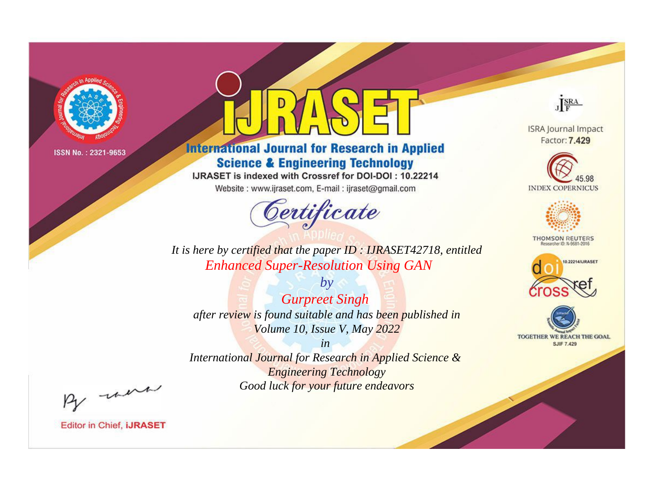

# **International Journal for Research in Applied Science & Engineering Technology**

IJRASET is indexed with Crossref for DOI-DOI: 10.22214

Website: www.ijraset.com, E-mail: ijraset@gmail.com



JERA **ISRA Journal Impact** 

Factor: 7.429





**THOMSON REUTERS** 



TOGETHER WE REACH THE GOAL **SJIF 7.429** 

*It is here by certified that the paper ID : IJRASET42718, entitled Enhanced Super-Resolution Using GAN*

*by Gurpreet Singh after review is found suitable and has been published in Volume 10, Issue V, May 2022*

*in* 

*International Journal for Research in Applied Science & Engineering Technology Good luck for your future endeavors*

By morn